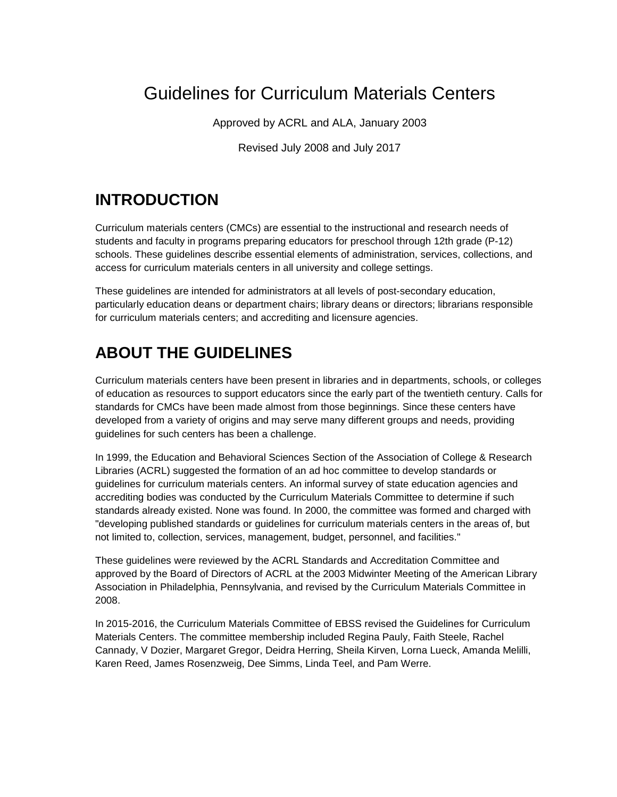# Guidelines for Curriculum Materials Centers

Approved by ACRL and ALA, January 2003

Revised July 2008 and July 2017

# **INTRODUCTION**

Curriculum materials centers (CMCs) are essential to the instructional and research needs of students and faculty in programs preparing educators for preschool through 12th grade (P-12) schools. These guidelines describe essential elements of administration, services, collections, and access for curriculum materials centers in all university and college settings.

These guidelines are intended for administrators at all levels of post-secondary education, particularly education deans or department chairs; library deans or directors; librarians responsible for curriculum materials centers; and accrediting and licensure agencies.

# **ABOUT THE GUIDELINES**

Curriculum materials centers have been present in libraries and in departments, schools, or colleges of education as resources to support educators since the early part of the twentieth century. Calls for standards for CMCs have been made almost from those beginnings. Since these centers have developed from a variety of origins and may serve many different groups and needs, providing guidelines for such centers has been a challenge.

In 1999, the Education and Behavioral Sciences Section of the Association of College & Research Libraries (ACRL) suggested the formation of an ad hoc committee to develop standards or guidelines for curriculum materials centers. An informal survey of state education agencies and accrediting bodies was conducted by the Curriculum Materials Committee to determine if such standards already existed. None was found. In 2000, the committee was formed and charged with "developing published standards or guidelines for curriculum materials centers in the areas of, but not limited to, collection, services, management, budget, personnel, and facilities."

These guidelines were reviewed by the ACRL Standards and Accreditation Committee and approved by the Board of Directors of ACRL at the 2003 Midwinter Meeting of the American Library Association in Philadelphia, Pennsylvania, and revised by the Curriculum Materials Committee in 2008.

In 2015-2016, the Curriculum Materials Committee of EBSS revised the Guidelines for Curriculum Materials Centers. The committee membership included Regina Pauly, Faith Steele, Rachel Cannady, V Dozier, Margaret Gregor, Deidra Herring, Sheila Kirven, Lorna Lueck, Amanda Melilli, Karen Reed, James Rosenzweig, Dee Simms, Linda Teel, and Pam Werre.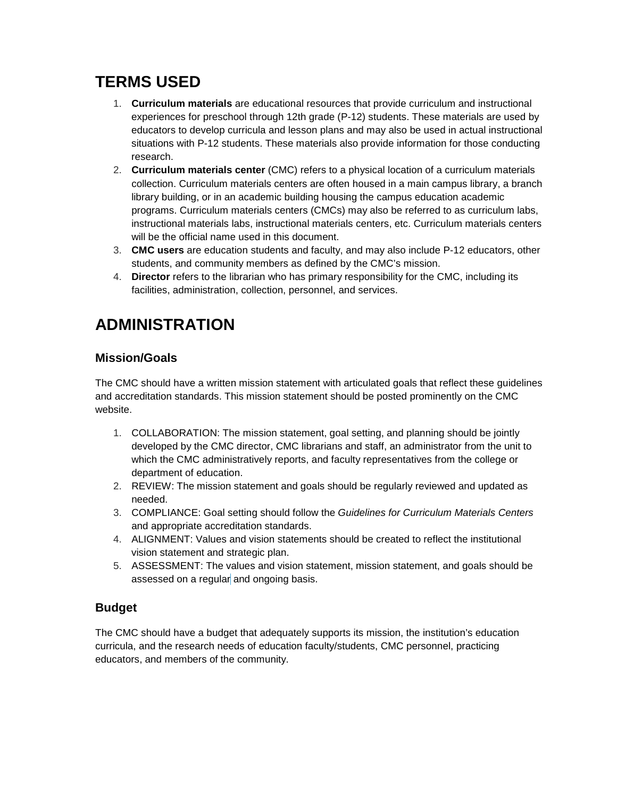# **TERMS USED**

- 1. **Curriculum materials** are educational resources that provide curriculum and instructional experiences for preschool through 12th grade (P-12) students. These materials are used by educators to develop curricula and lesson plans and may also be used in actual instructional situations with P-12 students. These materials also provide information for those conducting research.
- 2. **Curriculum materials center** (CMC) refers to a physical location of a curriculum materials collection. Curriculum materials centers are often housed in a main campus library, a branch library building, or in an academic building housing the campus education academic programs. Curriculum materials centers (CMCs) may also be referred to as curriculum labs, instructional materials labs, instructional materials centers, etc. Curriculum materials centers will be the official name used in this document.
- 3. **CMC users** are education students and faculty, and may also include P-12 educators, other students, and community members as defined by the CMC's mission.
- 4. **Director** refers to the librarian who has primary responsibility for the CMC, including its facilities, administration, collection, personnel, and services.

## **ADMINISTRATION**

## **Mission/Goals**

The CMC should have a written mission statement with articulated goals that reflect these guidelines and accreditation standards. This mission statement should be posted prominently on the CMC website.

- 1. COLLABORATION: The mission statement, goal setting, and planning should be jointly developed by the CMC director, CMC librarians and staff, an administrator from the unit to which the CMC administratively reports, and faculty representatives from the college or department of education.
- 2. REVIEW: The mission statement and goals should be regularly reviewed and updated as needed.
- 3. COMPLIANCE: Goal setting should follow the *Guidelines for Curriculum Materials Centers* and appropriate accreditation standards.
- 4. ALIGNMENT: Values and vision statements should be created to reflect the institutional vision statement and strategic plan.
- 5. ASSESSMENT: The values and vision statement, mission statement, and goals should be assessed on a regular and ongoing basis.

## **Budget**

The CMC should have a budget that adequately supports its mission, the institution's education curricula, and the research needs of education faculty/students, CMC personnel, practicing educators, and members of the community.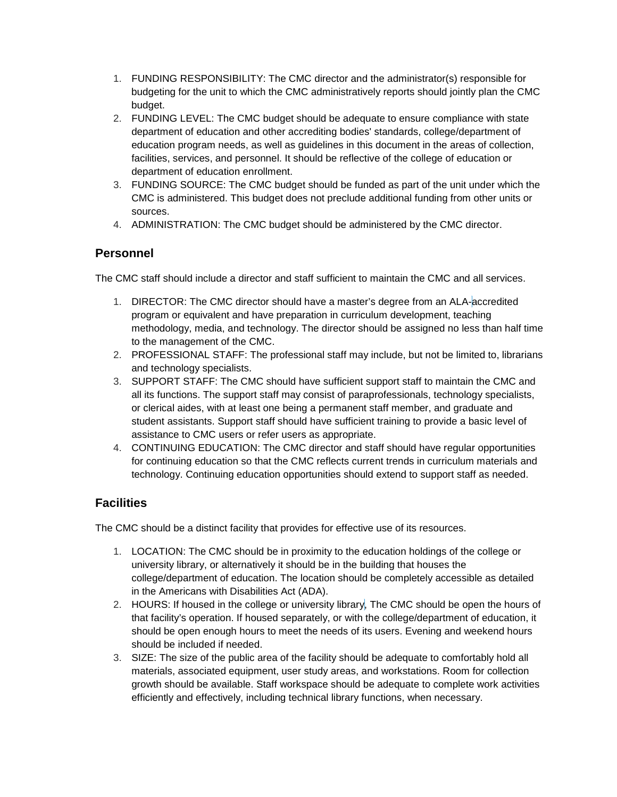- 1. FUNDING RESPONSIBILITY: The CMC director and the administrator(s) responsible for budgeting for the unit to which the CMC administratively reports should jointly plan the CMC budget.
- 2. FUNDING LEVEL: The CMC budget should be adequate to ensure compliance with state department of education and other accrediting bodies' standards, college/department of education program needs, as well as guidelines in this document in the areas of collection, facilities, services, and personnel. It should be reflective of the college of education or department of education enrollment.
- 3. FUNDING SOURCE: The CMC budget should be funded as part of the unit under which the CMC is administered. This budget does not preclude additional funding from other units or sources.
- 4. ADMINISTRATION: The CMC budget should be administered by the CMC director.

## **Personnel**

The CMC staff should include a director and staff sufficient to maintain the CMC and all services.

- 1. DIRECTOR: The CMC director should have a master's degree from an ALA-accredited program or equivalent and have preparation in curriculum development, teaching methodology, media, and technology. The director should be assigned no less than half time to the management of the CMC.
- 2. PROFESSIONAL STAFF: The professional staff may include, but not be limited to, librarians and technology specialists.
- 3. SUPPORT STAFF: The CMC should have sufficient support staff to maintain the CMC and all its functions. The support staff may consist of paraprofessionals, technology specialists, or clerical aides, with at least one being a permanent staff member, and graduate and student assistants. Support staff should have sufficient training to provide a basic level of assistance to CMC users or refer users as appropriate.
- 4. CONTINUING EDUCATION: The CMC director and staff should have regular opportunities for continuing education so that the CMC reflects current trends in curriculum materials and technology. Continuing education opportunities should extend to support staff as needed.

## **Facilities**

The CMC should be a distinct facility that provides for effective use of its resources.

- 1. LOCATION: The CMC should be in proximity to the education holdings of the college or university library, or alternatively it should be in the building that houses the college/department of education. The location should be completely accessible as detailed in the Americans with Disabilities Act (ADA).
- 2. HOURS: If housed in the college or university library, The CMC should be open the hours of that facility's operation. If housed separately, or with the college/department of education, it should be open enough hours to meet the needs of its users. Evening and weekend hours should be included if needed.
- 3. SIZE: The size of the public area of the facility should be adequate to comfortably hold all materials, associated equipment, user study areas, and workstations. Room for collection growth should be available. Staff workspace should be adequate to complete work activities efficiently and effectively, including technical library functions, when necessary.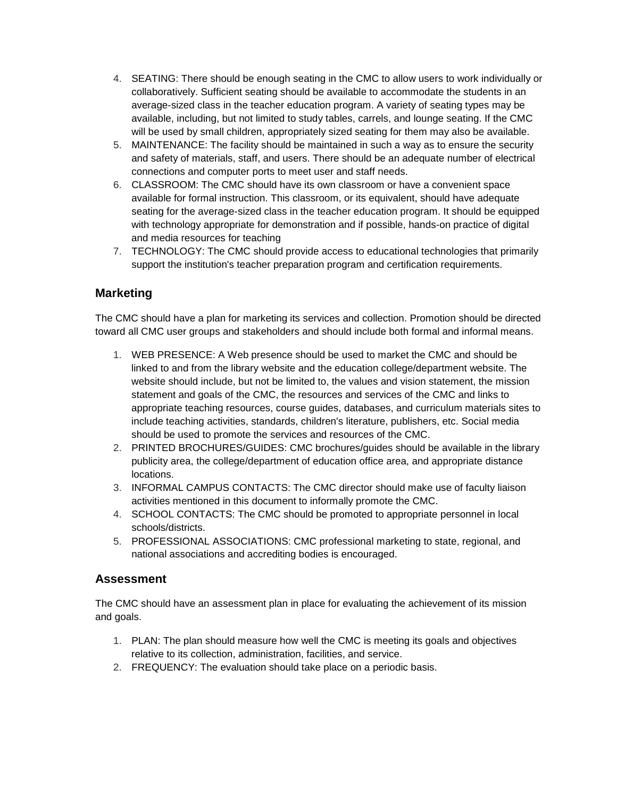- 4. SEATING: There should be enough seating in the CMC to allow users to work individually or collaboratively. Sufficient seating should be available to accommodate the students in an average-sized class in the teacher education program. A variety of seating types may be available, including, but not limited to study tables, carrels, and lounge seating. If the CMC will be used by small children, appropriately sized seating for them may also be available.
- 5. MAINTENANCE: The facility should be maintained in such a way as to ensure the security and safety of materials, staff, and users. There should be an adequate number of electrical connections and computer ports to meet user and staff needs.
- 6. CLASSROOM: The CMC should have its own classroom or have a convenient space available for formal instruction. This classroom, or its equivalent, should have adequate seating for the average-sized class in the teacher education program. It should be equipped with technology appropriate for demonstration and if possible, hands-on practice of digital and media resources for teaching
- 7. TECHNOLOGY: The CMC should provide access to educational technologies that primarily support the institution's teacher preparation program and certification requirements.

## **Marketing**

The CMC should have a plan for marketing its services and collection. Promotion should be directed toward all CMC user groups and stakeholders and should include both formal and informal means.

- 1. WEB PRESENCE: A Web presence should be used to market the CMC and should be linked to and from the library website and the education college/department website. The website should include, but not be limited to, the values and vision statement, the mission statement and goals of the CMC, the resources and services of the CMC and links to appropriate teaching resources, course guides, databases, and curriculum materials sites to include teaching activities, standards, children's literature, publishers, etc. Social media should be used to promote the services and resources of the CMC.
- 2. PRINTED BROCHURES/GUIDES: CMC brochures/guides should be available in the library publicity area, the college/department of education office area, and appropriate distance locations.
- 3. INFORMAL CAMPUS CONTACTS: The CMC director should make use of faculty liaison activities mentioned in this document to informally promote the CMC.
- 4. SCHOOL CONTACTS: The CMC should be promoted to appropriate personnel in local schools/districts.
- 5. PROFESSIONAL ASSOCIATIONS: CMC professional marketing to state, regional, and national associations and accrediting bodies is encouraged.

#### **Assessment**

The CMC should have an assessment plan in place for evaluating the achievement of its mission and goals.

- 1. PLAN: The plan should measure how well the CMC is meeting its goals and objectives relative to its collection, administration, facilities, and service.
- 2. FREQUENCY: The evaluation should take place on a periodic basis.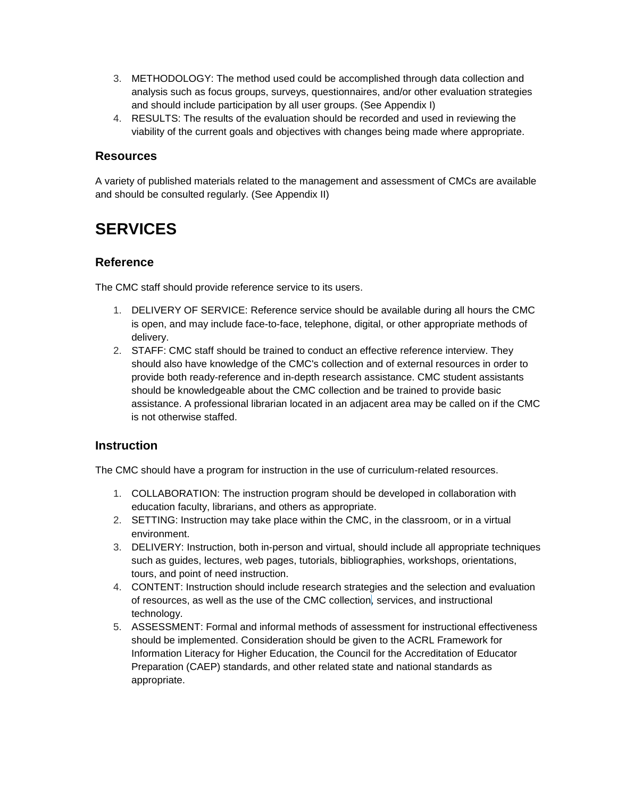- 3. METHODOLOGY: The method used could be accomplished through data collection and analysis such as focus groups, surveys, questionnaires, and/or other evaluation strategies and should include participation by all user groups. (See Appendix I)
- 4. RESULTS: The results of the evaluation should be recorded and used in reviewing the viability of the current goals and objectives with changes being made where appropriate.

#### **Resources**

A variety of published materials related to the management and assessment of CMCs are available and should be consulted regularly. (See Appendix II)

## **SERVICES**

## **Reference**

The CMC staff should provide reference service to its users.

- 1. DELIVERY OF SERVICE: Reference service should be available during all hours the CMC is open, and may include face-to-face, telephone, digital, or other appropriate methods of delivery.
- 2. STAFF: CMC staff should be trained to conduct an effective reference interview. They should also have knowledge of the CMC's collection and of external resources in order to provide both ready-reference and in-depth research assistance. CMC student assistants should be knowledgeable about the CMC collection and be trained to provide basic assistance. A professional librarian located in an adjacent area may be called on if the CMC is not otherwise staffed.

## **Instruction**

The CMC should have a program for instruction in the use of curriculum-related resources.

- 1. COLLABORATION: The instruction program should be developed in collaboration with education faculty, librarians, and others as appropriate.
- 2. SETTING: Instruction may take place within the CMC, in the classroom, or in a virtual environment.
- 3. DELIVERY: Instruction, both in-person and virtual, should include all appropriate techniques such as guides, lectures, web pages, tutorials, bibliographies, workshops, orientations, tours, and point of need instruction.
- 4. CONTENT: Instruction should include research strategies and the selection and evaluation of resources, as well as the use of the CMC collection, services, and instructional technology.
- 5. ASSESSMENT: Formal and informal methods of assessment for instructional effectiveness should be implemented. Consideration should be given to the ACRL Framework for Information Literacy for Higher Education, the Council for the Accreditation of Educator Preparation (CAEP) standards, and other related state and national standards as appropriate.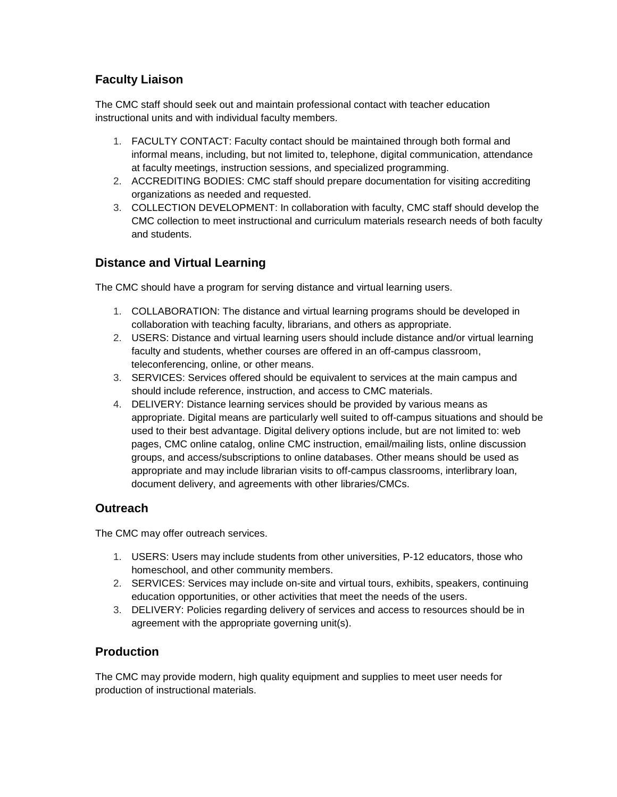## **Faculty Liaison**

The CMC staff should seek out and maintain professional contact with teacher education instructional units and with individual faculty members.

- 1. FACULTY CONTACT: Faculty contact should be maintained through both formal and informal means, including, but not limited to, telephone, digital communication, attendance at faculty meetings, instruction sessions, and specialized programming.
- 2. ACCREDITING BODIES: CMC staff should prepare documentation for visiting accrediting organizations as needed and requested.
- 3. COLLECTION DEVELOPMENT: In collaboration with faculty, CMC staff should develop the CMC collection to meet instructional and curriculum materials research needs of both faculty and students.

## **Distance and Virtual Learning**

The CMC should have a program for serving distance and virtual learning users.

- 1. COLLABORATION: The distance and virtual learning programs should be developed in collaboration with teaching faculty, librarians, and others as appropriate.
- 2. USERS: Distance and virtual learning users should include distance and/or virtual learning faculty and students, whether courses are offered in an off-campus classroom, teleconferencing, online, or other means.
- 3. SERVICES: Services offered should be equivalent to services at the main campus and should include reference, instruction, and access to CMC materials.
- 4. DELIVERY: Distance learning services should be provided by various means as appropriate. Digital means are particularly well suited to off-campus situations and should be used to their best advantage. Digital delivery options include, but are not limited to: web pages, CMC online catalog, online CMC instruction, email/mailing lists, online discussion groups, and access/subscriptions to online databases. Other means should be used as appropriate and may include librarian visits to off-campus classrooms, interlibrary loan, document delivery, and agreements with other libraries/CMCs.

## **Outreach**

The CMC may offer outreach services.

- 1. USERS: Users may include students from other universities, P-12 educators, those who homeschool, and other community members.
- 2. SERVICES: Services may include on-site and virtual tours, exhibits, speakers, continuing education opportunities, or other activities that meet the needs of the users.
- 3. DELIVERY: Policies regarding delivery of services and access to resources should be in agreement with the appropriate governing unit(s).

## **Production**

The CMC may provide modern, high quality equipment and supplies to meet user needs for production of instructional materials.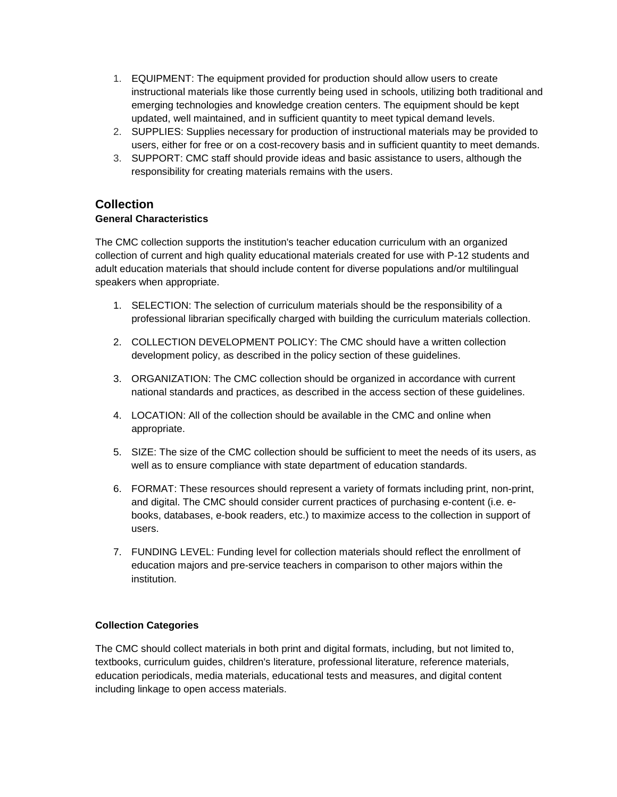- 1. EQUIPMENT: The equipment provided for production should allow users to create instructional materials like those currently being used in schools, utilizing both traditional and emerging technologies and knowledge creation centers. The equipment should be kept updated, well maintained, and in sufficient quantity to meet typical demand levels.
- 2. SUPPLIES: Supplies necessary for production of instructional materials may be provided to users, either for free or on a cost-recovery basis and in sufficient quantity to meet demands.
- 3. SUPPORT: CMC staff should provide ideas and basic assistance to users, although the responsibility for creating materials remains with the users.

#### **Collection**

#### **General Characteristics**

The CMC collection supports the institution's teacher education curriculum with an organized collection of current and high quality educational materials created for use with P-12 students and adult education materials that should include content for diverse populations and/or multilingual speakers when appropriate.

- 1. SELECTION: The selection of curriculum materials should be the responsibility of a professional librarian specifically charged with building the curriculum materials collection.
- 2. COLLECTION DEVELOPMENT POLICY: The CMC should have a written collection development policy, as described in the policy section of these guidelines.
- 3. ORGANIZATION: The CMC collection should be organized in accordance with current national standards and practices, as described in the access section of these guidelines.
- 4. LOCATION: All of the collection should be available in the CMC and online when appropriate.
- 5. SIZE: The size of the CMC collection should be sufficient to meet the needs of its users, as well as to ensure compliance with state department of education standards.
- 6. FORMAT: These resources should represent a variety of formats including print, non-print, and digital. The CMC should consider current practices of purchasing e-content (i.e. ebooks, databases, e-book readers, etc.) to maximize access to the collection in support of users.
- 7. FUNDING LEVEL: Funding level for collection materials should reflect the enrollment of education majors and pre-service teachers in comparison to other majors within the institution.

#### **Collection Categories**

The CMC should collect materials in both print and digital formats, including, but not limited to, textbooks, curriculum guides, children's literature, professional literature, reference materials, education periodicals, media materials, educational tests and measures, and digital content including linkage to open access materials.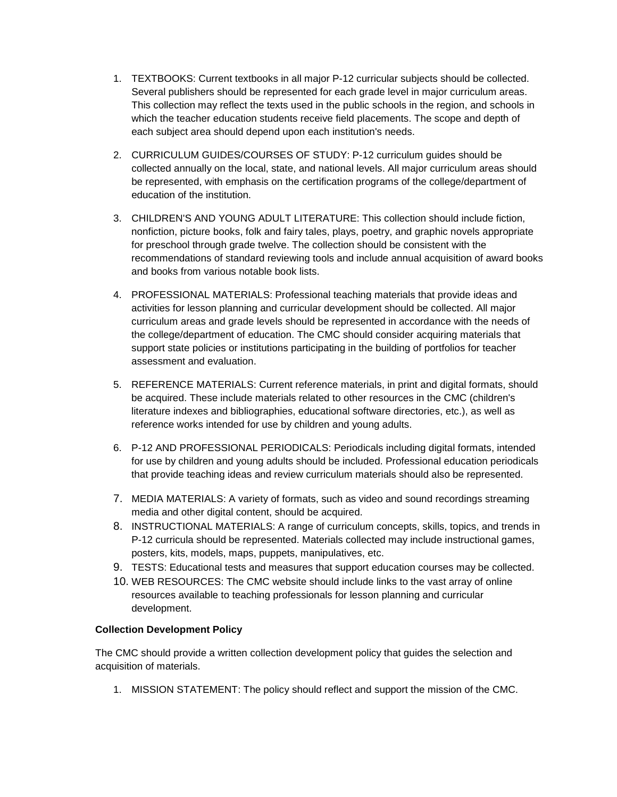- 1. TEXTBOOKS: Current textbooks in all major P-12 curricular subjects should be collected. Several publishers should be represented for each grade level in major curriculum areas. This collection may reflect the texts used in the public schools in the region, and schools in which the teacher education students receive field placements. The scope and depth of each subject area should depend upon each institution's needs.
- 2. CURRICULUM GUIDES/COURSES OF STUDY: P-12 curriculum guides should be collected annually on the local, state, and national levels. All major curriculum areas should be represented, with emphasis on the certification programs of the college/department of education of the institution.
- 3. CHILDREN'S AND YOUNG ADULT LITERATURE: This collection should include fiction, nonfiction, picture books, folk and fairy tales, plays, poetry, and graphic novels appropriate for preschool through grade twelve. The collection should be consistent with the recommendations of standard reviewing tools and include annual acquisition of award books and books from various notable book lists.
- 4. PROFESSIONAL MATERIALS: Professional teaching materials that provide ideas and activities for lesson planning and curricular development should be collected. All major curriculum areas and grade levels should be represented in accordance with the needs of the college/department of education. The CMC should consider acquiring materials that support state policies or institutions participating in the building of portfolios for teacher assessment and evaluation.
- 5. REFERENCE MATERIALS: Current reference materials, in print and digital formats, should be acquired. These include materials related to other resources in the CMC (children's literature indexes and bibliographies, educational software directories, etc.), as well as reference works intended for use by children and young adults.
- 6. P-12 AND PROFESSIONAL PERIODICALS: Periodicals including digital formats, intended for use by children and young adults should be included. Professional education periodicals that provide teaching ideas and review curriculum materials should also be represented.
- 7. MEDIA MATERIALS: A variety of formats, such as video and sound recordings streaming media and other digital content, should be acquired.
- 8. INSTRUCTIONAL MATERIALS: A range of curriculum concepts, skills, topics, and trends in P-12 curricula should be represented. Materials collected may include instructional games, posters, kits, models, maps, puppets, manipulatives, etc.
- 9. TESTS: Educational tests and measures that support education courses may be collected.
- 10. WEB RESOURCES: The CMC website should include links to the vast array of online resources available to teaching professionals for lesson planning and curricular development.

#### **Collection Development Policy**

The CMC should provide a written collection development policy that guides the selection and acquisition of materials.

1. MISSION STATEMENT: The policy should reflect and support the mission of the CMC.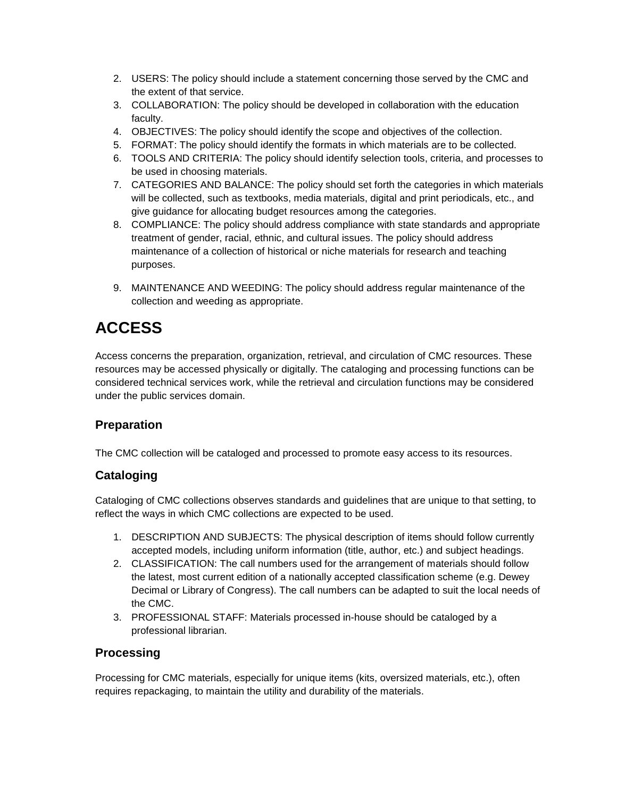- 2. USERS: The policy should include a statement concerning those served by the CMC and the extent of that service.
- 3. COLLABORATION: The policy should be developed in collaboration with the education faculty.
- 4. OBJECTIVES: The policy should identify the scope and objectives of the collection.
- 5. FORMAT: The policy should identify the formats in which materials are to be collected.
- 6. TOOLS AND CRITERIA: The policy should identify selection tools, criteria, and processes to be used in choosing materials.
- 7. CATEGORIES AND BALANCE: The policy should set forth the categories in which materials will be collected, such as textbooks, media materials, digital and print periodicals, etc., and give guidance for allocating budget resources among the categories.
- 8. COMPLIANCE: The policy should address compliance with state standards and appropriate treatment of gender, racial, ethnic, and cultural issues. The policy should address maintenance of a collection of historical or niche materials for research and teaching purposes.
- 9. MAINTENANCE AND WEEDING: The policy should address regular maintenance of the collection and weeding as appropriate.

# **ACCESS**

Access concerns the preparation, organization, retrieval, and circulation of CMC resources. These resources may be accessed physically or digitally. The cataloging and processing functions can be considered technical services work, while the retrieval and circulation functions may be considered under the public services domain.

## **Preparation**

The CMC collection will be cataloged and processed to promote easy access to its resources.

## **Cataloging**

Cataloging of CMC collections observes standards and guidelines that are unique to that setting, to reflect the ways in which CMC collections are expected to be used.

- 1. DESCRIPTION AND SUBJECTS: The physical description of items should follow currently accepted models, including uniform information (title, author, etc.) and subject headings.
- 2. CLASSIFICATION: The call numbers used for the arrangement of materials should follow the latest, most current edition of a nationally accepted classification scheme (e.g. Dewey Decimal or Library of Congress). The call numbers can be adapted to suit the local needs of the CMC.
- 3. PROFESSIONAL STAFF: Materials processed in-house should be cataloged by a professional librarian.

## **Processing**

Processing for CMC materials, especially for unique items (kits, oversized materials, etc.), often requires repackaging, to maintain the utility and durability of the materials.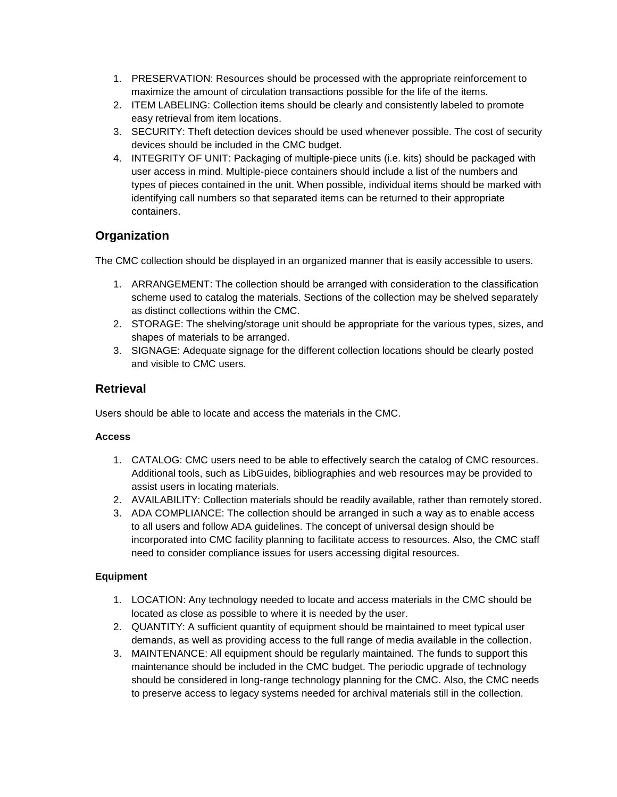- 1. PRESERVATION: Resources should be processed with the appropriate reinforcement to maximize the amount of circulation transactions possible for the life of the items.
- 2. ITEM LABELING: Collection items should be clearly and consistently labeled to promote easy retrieval from item locations.
- 3. SECURITY: Theft detection devices should be used whenever possible. The cost of security devices should be included in the CMC budget.
- 4. INTEGRITY OF UNIT: Packaging of multiple-piece units (i.e. kits) should be packaged with user access in mind. Multiple-piece containers should include a list of the numbers and types of pieces contained in the unit. When possible, individual items should be marked with identifying call numbers so that separated items can be returned to their appropriate containers.

## **Organization**

The CMC collection should be displayed in an organized manner that is easily accessible to users.

- 1. ARRANGEMENT: The collection should be arranged with consideration to the classification scheme used to catalog the materials. Sections of the collection may be shelved separately as distinct collections within the CMC.
- 2. STORAGE: The shelving/storage unit should be appropriate for the various types, sizes, and shapes of materials to be arranged.
- 3. SIGNAGE: Adequate signage for the different collection locations should be clearly posted and visible to CMC users.

## **Retrieval**

Users should be able to locate and access the materials in the CMC.

#### **Access**

- 1. CATALOG: CMC users need to be able to effectively search the catalog of CMC resources. Additional tools, such as LibGuides, bibliographies and web resources may be provided to assist users in locating materials.
- 2. AVAILABILITY: Collection materials should be readily available, rather than remotely stored.
- 3. ADA COMPLIANCE: The collection should be arranged in such a way as to enable access to all users and follow ADA guidelines. The concept of universal design should be incorporated into CMC facility planning to facilitate access to resources. Also, the CMC staff need to consider compliance issues for users accessing digital resources.

#### **Equipment**

- 1. LOCATION: Any technology needed to locate and access materials in the CMC should be located as close as possible to where it is needed by the user.
- 2. QUANTITY: A sufficient quantity of equipment should be maintained to meet typical user demands, as well as providing access to the full range of media available in the collection.
- 3. MAINTENANCE: All equipment should be regularly maintained. The funds to support this maintenance should be included in the CMC budget. The periodic upgrade of technology should be considered in long-range technology planning for the CMC. Also, the CMC needs to preserve access to legacy systems needed for archival materials still in the collection.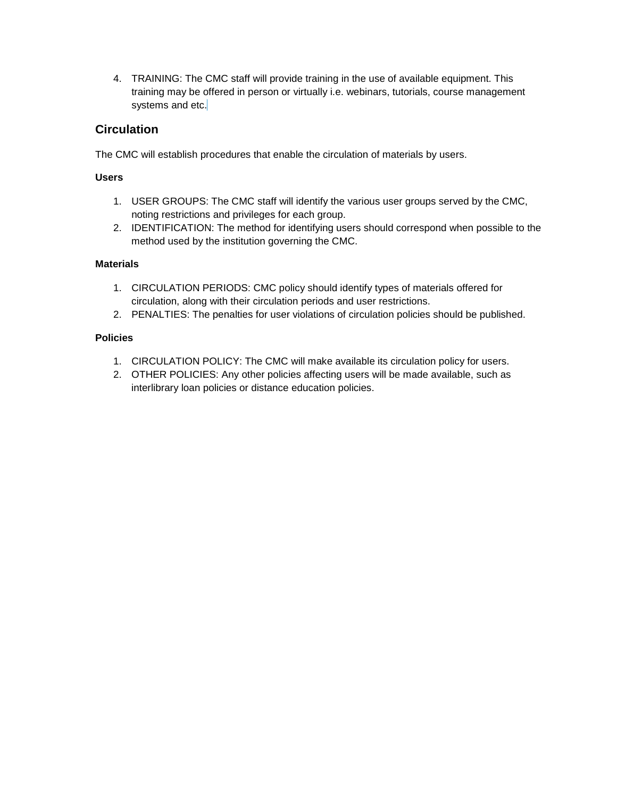4. TRAINING: The CMC staff will provide training in the use of available equipment. This training may be offered in person or virtually i.e. webinars, tutorials, course management systems and etc.

## **Circulation**

The CMC will establish procedures that enable the circulation of materials by users.

#### **Users**

- 1. USER GROUPS: The CMC staff will identify the various user groups served by the CMC, noting restrictions and privileges for each group.
- 2. IDENTIFICATION: The method for identifying users should correspond when possible to the method used by the institution governing the CMC.

#### **Materials**

- 1. CIRCULATION PERIODS: CMC policy should identify types of materials offered for circulation, along with their circulation periods and user restrictions.
- 2. PENALTIES: The penalties for user violations of circulation policies should be published.

#### **Policies**

- 1. CIRCULATION POLICY: The CMC will make available its circulation policy for users.
- 2. OTHER POLICIES: Any other policies affecting users will be made available, such as interlibrary loan policies or distance education policies.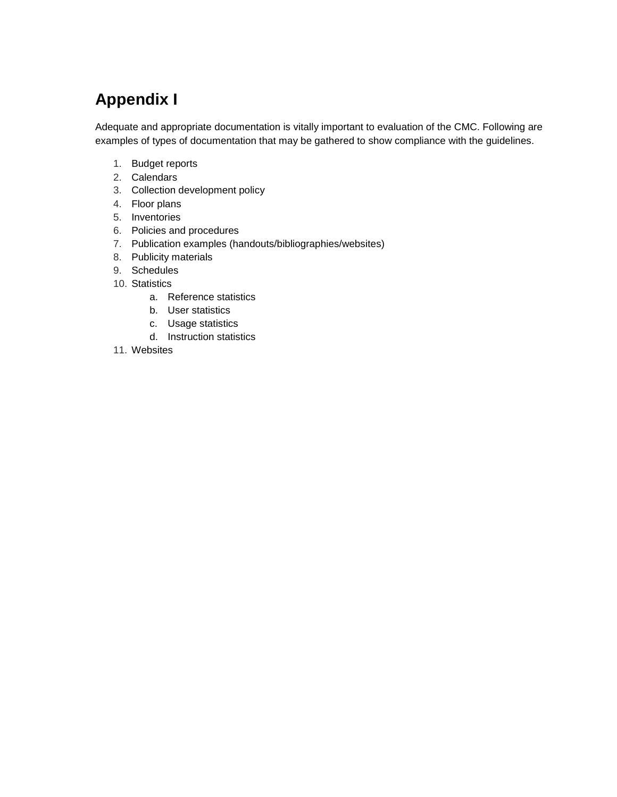# **Appendix I**

Adequate and appropriate documentation is vitally important to evaluation of the CMC. Following are examples of types of documentation that may be gathered to show compliance with the guidelines.

- 1. Budget reports
- 2. Calendars
- 3. Collection development policy
- 4. Floor plans
- 5. Inventories
- 6. Policies and procedures
- 7. Publication examples (handouts/bibliographies/websites)
- 8. Publicity materials
- 9. Schedules
- 10. Statistics
	- a. Reference statistics
	- b. User statistics
	- c. Usage statistics
	- d. Instruction statistics
- 11. Websites